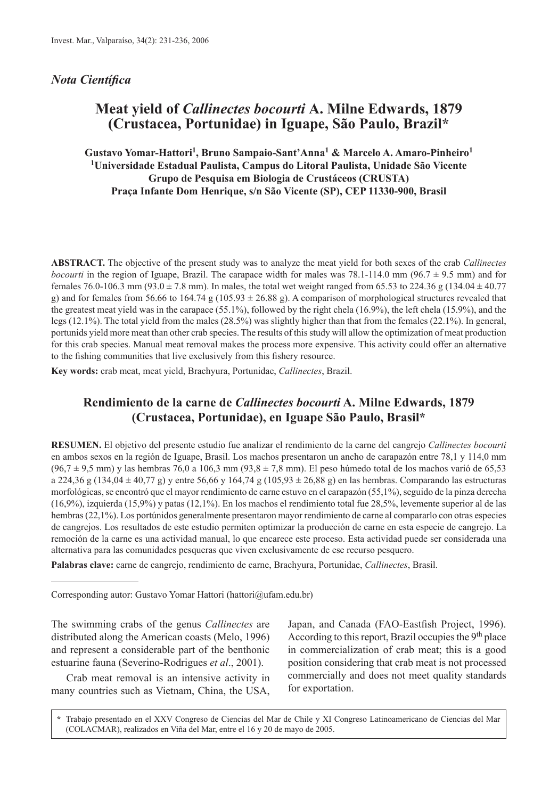### *Nota Científica*

# **Meat yield of** *Callinectes bocourti* **A. Milne Edwards, 1879 (Crustacea, Portunidae) in Iguape, São Paulo, Brazil\***

**Gustavo Yomar-Hattori1, Bruno Sampaio-Sant'Anna1 & Marcelo A. Amaro-Pinheiro1 1Universidade Estadual Paulista, Campus do Litoral Paulista, Unidade São Vicente Grupo de Pesquisa em Biologia de Crustáceos (CRUSTA) Praça Infante Dom Henrique, s/n São Vicente (SP), CEP 11330-900, Brasil**

**ABSTRACT.** The objective of the present study was to analyze the meat yield for both sexes of the crab *Callinectes bocourti* in the region of Iguape, Brazil. The carapace width for males was 78.1-114.0 mm (96.7  $\pm$  9.5 mm) and for females 76.0-106.3 mm (93.0 ± 7.8 mm). In males, the total wet weight ranged from 65.53 to 224.36 g (134.04  $\pm$  40.77 g) and for females from 56.66 to 164.74 g (105.93  $\pm$  26.88 g). A comparison of morphological structures revealed that the greatest meat yield was in the carapace (55.1%), followed by the right chela (16.9%), the left chela (15.9%), and the legs (12.1%). The total yield from the males (28.5%) was slightly higher than that from the females (22.1%). In general, portunids yield more meat than other crab species. The results of this study will allow the optimization of meat production for this crab species. Manual meat removal makes the process more expensive. This activity could offer an alternative to the fishing communities that live exclusively from this fishery resource.

**Key words:** crab meat, meat yield, Brachyura, Portunidae, *Callinectes*, Brazil.

# **Rendimiento de la carne de** *Callinectes bocourti* **A. Milne Edwards, 1879 (Crustacea, Portunidae), en Iguape São Paulo, Brasil\***

**RESUMEN.** El objetivo del presente estudio fue analizar el rendimiento de la carne del cangrejo *Callinectes bocourti* en ambos sexos en la región de Iguape, Brasil. Los machos presentaron un ancho de carapazón entre 78,1 y 114,0 mm  $(96.7 \pm 9.5 \text{ mm})$  y las hembras 76,0 a 106,3 mm  $(93.8 \pm 7.8 \text{ mm})$ . El peso húmedo total de los machos varió de 65,53 a 224,36 g (134,04  $\pm$  40,77 g) y entre 56,66 y 164,74 g (105,93  $\pm$  26,88 g) en las hembras. Comparando las estructuras morfológicas, se encontró que el mayor rendimiento de carne estuvo en el carapazón (55,1%), seguido de la pinza derecha (16,9%), izquierda (15,9%) y patas (12,1%). En los machos el rendimiento total fue 28,5%, levemente superior al de las hembras (22,1%). Los portúnidos generalmente presentaron mayor rendimiento de carne al compararlo con otras especies de cangrejos. Los resultados de este estudio permiten optimizar la producción de carne en esta especie de cangrejo. La remoción de la carne es una actividad manual, lo que encarece este proceso. Esta actividad puede ser considerada una alternativa para las comunidades pesqueras que viven exclusivamente de ese recurso pesquero.

**Palabras clave:** carne de cangrejo, rendimiento de carne, Brachyura, Portunidae, *Callinectes*, Brasil.

Corresponding autor: Gustavo Yomar Hattori (hattori@ufam.edu.br)

The swimming crabs of the genus *Callinectes* are distributed along the American coasts (Melo, 1996) and represent a considerable part of the benthonic estuarine fauna (Severino-Rodrigues *et al*., 2001).

Crab meat removal is an intensive activity in many countries such as Vietnam, China, the USA, Japan, and Canada (FAO-Eastfish Project, 1996). According to this report, Brazil occupies the 9<sup>th</sup> place in commercialization of crab meat; this is a good position considering that crab meat is not processed commercially and does not meet quality standards for exportation.

**<sup>\*</sup>** Trabajo presentado en el XXV Congreso de Ciencias del Mar de Chile y XI Congreso Latinoamericano de Ciencias del Mar (COLACMAR), realizados en Viña del Mar, entre el 16 y 20 de mayo de 2005.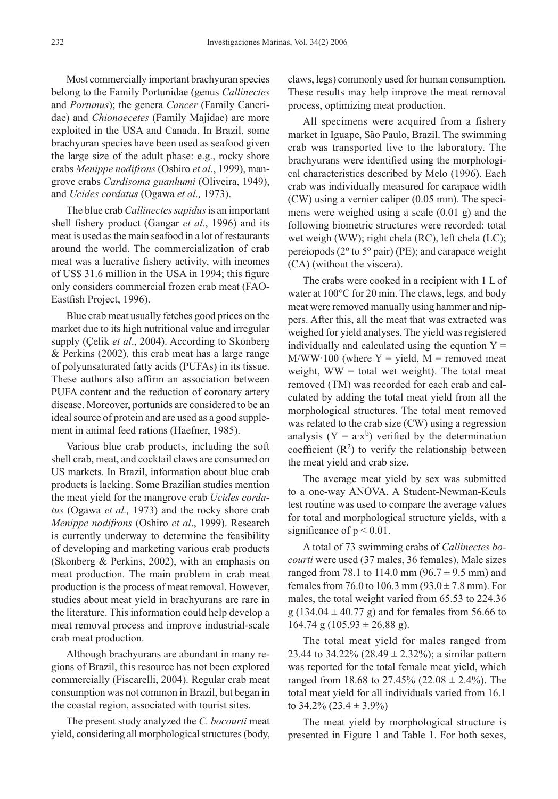Most commercially important brachyuran species belong to the Family Portunidae (genus *Callinectes* and *Portunus*); the genera *Cancer* (Family Cancridae) and *Chionoecetes* (Family Majidae) are more exploited in the USA and Canada. In Brazil, some brachyuran species have been used as seafood given the large size of the adult phase: e.g., rocky shore crabs *Menippe nodifrons* (Oshiro *et al*., 1999), mangrove crabs *Cardisoma guanhumi* (Oliveira, 1949), and *Ucides cordatus* (Ogawa *et al.,* 1973).

The blue crab *Callinectes sapidus* is an important shell fishery product (Gangar *et al*., 1996) and its meat is used as the main seafood in a lot of restaurants around the world. The commercialization of crab meat was a lucrative fishery activity, with incomes of US\$ 31.6 million in the USA in 1994; this figure only considers commercial frozen crab meat (FAO-Eastfish Project, 1996).

Blue crab meat usually fetches good prices on the market due to its high nutritional value and irregular supply (Çelik *et al*., 2004). According to Skonberg & Perkins (2002), this crab meat has a large range of polyunsaturated fatty acids (PUFAs) in its tissue. These authors also affirm an association between PUFA content and the reduction of coronary artery disease. Moreover, portunids are considered to be an ideal source of protein and are used as a good supplement in animal feed rations (Haefner, 1985).

Various blue crab products, including the soft shell crab, meat, and cocktail claws are consumed on US markets. In Brazil, information about blue crab products is lacking. Some Brazilian studies mention the meat yield for the mangrove crab *Ucides cordatus* (Ogawa *et al.,* 1973) and the rocky shore crab *Menippe nodifrons* (Oshiro *et al*., 1999). Research is currently underway to determine the feasibility of developing and marketing various crab products (Skonberg & Perkins, 2002), with an emphasis on meat production. The main problem in crab meat production is the process of meat removal. However, studies about meat yield in brachyurans are rare in the literature. This information could help develop a meat removal process and improve industrial-scale crab meat production.

Although brachyurans are abundant in many regions of Brazil, this resource has not been explored commercially (Fiscarelli, 2004). Regular crab meat consumption was not common in Brazil, but began in the coastal region, associated with tourist sites.

The present study analyzed the *C. bocourti* meat yield, considering all morphological structures (body, claws, legs) commonly used for human consumption. These results may help improve the meat removal process, optimizing meat production.

All specimens were acquired from a fishery market in Iguape, São Paulo, Brazil. The swimming crab was transported live to the laboratory. The brachyurans were identified using the morphological characteristics described by Melo (1996). Each crab was individually measured for carapace width (CW) using a vernier caliper (0.05 mm). The specimens were weighed using a scale (0.01 g) and the following biometric structures were recorded: total wet weigh (WW); right chela (RC), left chela (LC); pereiopods ( $2^{\circ}$  to  $5^{\circ}$  pair) (PE); and carapace weight (CA) (without the viscera).

The crabs were cooked in a recipient with 1 L of water at 100°C for 20 min. The claws, legs, and body meat were removed manually using hammer and nippers. After this, all the meat that was extracted was weighed for yield analyses. The yield was registered individually and calculated using the equation  $Y =$  $M/WW·100$  (where Y = yield, M = removed meat weight,  $WW = total$  wet weight). The total meat removed (TM) was recorded for each crab and calculated by adding the total meat yield from all the morphological structures. The total meat removed was related to the crab size (CW) using a regression analysis ( $Y = a \cdot x^b$ ) verified by the determination coefficient  $(R^2)$  to verify the relationship between the meat yield and crab size.

The average meat yield by sex was submitted to a one-way ANOVA. A Student-Newman-Keuls test routine was used to compare the average values for total and morphological structure yields, with a significance of  $p < 0.01$ .

A total of 73 swimming crabs of *Callinectes bocourti* were used (37 males, 36 females). Male sizes ranged from 78.1 to 114.0 mm ( $96.7 \pm 9.5$  mm) and females from 76.0 to 106.3 mm  $(93.0 \pm 7.8 \text{ mm})$ . For males, the total weight varied from 65.53 to 224.36  $g$  (134.04  $\pm$  40.77 g) and for females from 56.66 to  $164.74$  g  $(105.93 \pm 26.88$  g).

The total meat yield for males ranged from 23.44 to 34.22% (28.49  $\pm$  2.32%); a similar pattern was reported for the total female meat yield, which ranged from 18.68 to 27.45% (22.08  $\pm$  2.4%). The total meat yield for all individuals varied from 16.1 to  $34.2\%$  (23.4  $\pm$  3.9%)

The meat yield by morphological structure is presented in Figure 1 and Table 1. For both sexes,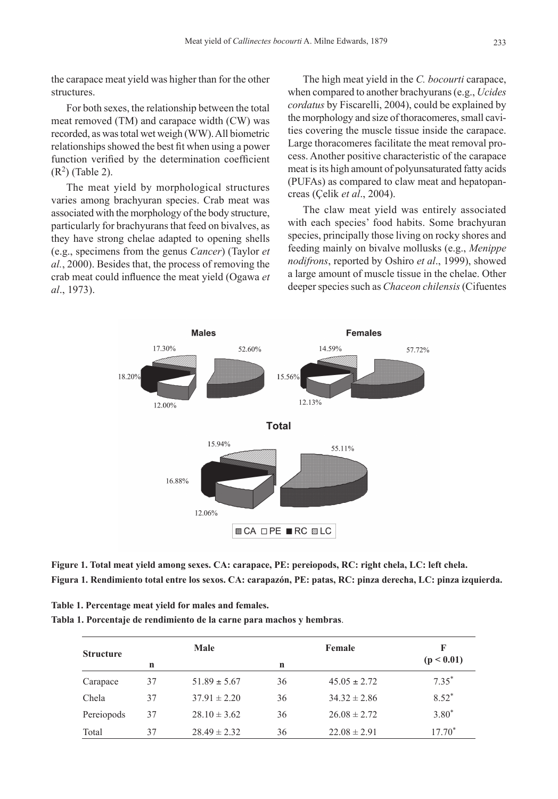the carapace meat yield was higher than for the other structures.

For both sexes, the relationship between the total meat removed (TM) and carapace width (CW) was recorded, as was total wet weigh (WW). All biometric relationships showed the best fit when using a power function verified by the determination coefficient  $(R<sup>2</sup>)$  (Table 2).

The meat yield by morphological structures varies among brachyuran species. Crab meat was associated with the morphology of the body structure, particularly for brachyurans that feed on bivalves, as they have strong chelae adapted to opening shells (e.g., specimens from the genus *Cancer*) (Taylor *et al.*, 2000). Besides that, the process of removing the crab meat could influence the meat yield (Ogawa *et al*., 1973).

The high meat yield in the *C. bocourti* carapace, when compared to another brachyurans (e.g., *Ucides cordatus* by Fiscarelli, 2004), could be explained by the morphology and size of thoracomeres, small cavities covering the muscle tissue inside the carapace. Large thoracomeres facilitate the meat removal process. Another positive characteristic of the carapace meat is its high amount of polyunsaturated fatty acids (PUFAs) as compared to claw meat and hepatopancreas (Çelik *et al*., 2004).

The claw meat yield was entirely associated with each species' food habits. Some brachyuran species, principally those living on rocky shores and feeding mainly on bivalve mollusks (e.g., *Menippe nodifrons*, reported by Oshiro *et al*., 1999), showed a large amount of muscle tissue in the chelae. Other deeper species such as *Chaceon chilensis* (Cifuentes



**Figure 1. Total meat yield among sexes. CA: carapace, PE: pereiopods, RC: right chela, LC: left chela. Figura 1. Rendimiento total entre los sexos. CA: carapazón, PE: patas, RC: pinza derecha, LC: pinza izquierda.**

| Table 1. Percentage meat yield for males and females.                 |
|-----------------------------------------------------------------------|
| Tabla 1. Porcentaje de rendimiento de la carne para machos y hembras. |

| <b>Structure</b> | Male |                  | Female      |                  | F          |  |
|------------------|------|------------------|-------------|------------------|------------|--|
|                  | n    |                  | $\mathbf n$ |                  | (p < 0.01) |  |
| Carapace         | 37   | $51.89 \pm 5.67$ | 36          | $45.05 \pm 2.72$ | $7.35^*$   |  |
| Chela            | 37   | $37.91 \pm 2.20$ | 36          | $34.32 \pm 2.86$ | $8.52*$    |  |
| Pereiopods       | 37   | $28.10 \pm 3.62$ | 36          | $26.08 \pm 2.72$ | $3.80*$    |  |
| Total            | 37   | $28.49 \pm 2.32$ | 36          | $22.08 \pm 2.91$ | $17.70*$   |  |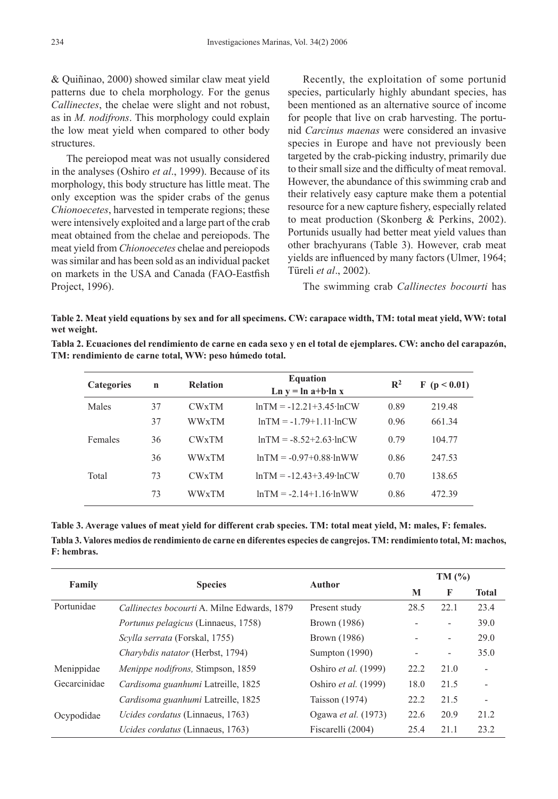& Quiñinao, 2000) showed similar claw meat yield patterns due to chela morphology. For the genus *Callinectes*, the chelae were slight and not robust, as in *M. nodifrons*. This morphology could explain the low meat yield when compared to other body structures.

The pereiopod meat was not usually considered in the analyses (Oshiro *et al*., 1999). Because of its morphology, this body structure has little meat. The only exception was the spider crabs of the genus *Chionoecetes*, harvested in temperate regions; these were intensively exploited and a large part of the crab meat obtained from the chelae and pereiopods. The meat yield from *Chionoecetes* chelae and pereiopods was similar and has been sold as an individual packet on markets in the USA and Canada (FAO-Eastfish Project, 1996).

Recently, the exploitation of some portunid species, particularly highly abundant species, has been mentioned as an alternative source of income for people that live on crab harvesting. The portunid *Carcinus maenas* were considered an invasive species in Europe and have not previously been targeted by the crab-picking industry, primarily due to their small size and the difficulty of meat removal. However, the abundance of this swimming crab and their relatively easy capture make them a potential resource for a new capture fishery, especially related to meat production (Skonberg & Perkins, 2002). Portunids usually had better meat yield values than other brachyurans (Table 3). However, crab meat yields are influenced by many factors (Ulmer, 1964; Türeli *et al*., 2002).

The swimming crab *Callinectes bocourti* has

**Table 2. Meat yield equations by sex and for all specimens. CW: carapace width, TM: total meat yield, WW: total wet weight.**

| Tabla 2. Ecuaciones del rendimiento de carne en cada sexo y en el total de ejemplares. CW: ancho del carapazón, |
|-----------------------------------------------------------------------------------------------------------------|
| TM: rendimiento de carne total, WW: peso húmedo total.                                                          |

| <b>Categories</b> | $\mathbf n$ | <b>Relation</b> | <b>Equation</b><br>$\ln y = \ln a + b \cdot \ln x$ | $\mathbb{R}^2$ | F(p < 0.01) |
|-------------------|-------------|-----------------|----------------------------------------------------|----------------|-------------|
| Males             | 37          | <b>CWxTM</b>    | $lnTM = -12.21 + 3.45 \cdot lnCW$                  | 0.89           | 219.48      |
|                   | 37          | <b>WWxTM</b>    | $lnTM = -1.79 + 1.11 \cdot lnCW$                   | 0.96           | 661.34      |
| Females           | 36          | <b>CWxTM</b>    | $lnTM = -852+263·lnCW$                             | 0.79           | 104.77      |
|                   | 36          | <b>WWxTM</b>    | $lnTM = -0.97+0.88 \cdot lnWW$                     | 0.86           | 247.53      |
| Total             | 73          | <b>CWxTM</b>    | $lnTM = -12.43 + 3.49 \cdot lnCW$                  | 0.70           | 138.65      |
|                   | 73          | <b>WWxTM</b>    | $lnTM = -2.14+1.16 \cdot lnWW$                     | 0.86           | 472.39      |

**Table 3. Average values of meat yield for different crab species. TM: total meat yield, M: males, F: females. Tabla 3. Valores medios de rendimiento de carne en diferentes especies de cangrejos. TM: rendimiento total, M: machos, F: hembras.** 

|                            |                                             |                      | TM(%) |                          |                          |
|----------------------------|---------------------------------------------|----------------------|-------|--------------------------|--------------------------|
| Family                     | <b>Species</b>                              | Author               | M     | F                        | <b>Total</b>             |
| Portunidae                 | Callinectes bocourti A. Milne Edwards, 1879 | Present study        | 28.5  | 22.1                     | 23.4                     |
|                            | <i>Portunus pelagicus</i> (Linnaeus, 1758)  | Brown (1986)         |       | $\overline{\phantom{0}}$ | 39.0                     |
|                            | Scylla serrata (Forskal, 1755)              | Brown (1986)         |       |                          | 29.0                     |
|                            | Charybdis natator (Herbst, 1794)            | Sumpton (1990)       |       |                          | 35.0                     |
| Menippidae                 | Menippe nodifrons, Stimpson, 1859           | Oshiro et al. (1999) | 22.2  | 21.0                     | $\blacksquare$           |
| Gecarcinidae<br>Ocypodidae | Cardisoma guanhumi Latreille, 1825          | Oshiro et al. (1999) | 18.0  | 21.5                     |                          |
|                            | Cardisoma guanhumi Latreille, 1825          | Taisson $(1974)$     | 22.2  | 21.5                     | $\overline{\phantom{a}}$ |
|                            | Ucides cordatus (Linnaeus, 1763)            | Ogawa et al. (1973)  | 22.6  | 20.9                     | 21.2                     |
|                            | Ucides cordatus (Linnaeus, 1763)            | Fiscarelli (2004)    | 25.4  | 21.1                     | 23.2                     |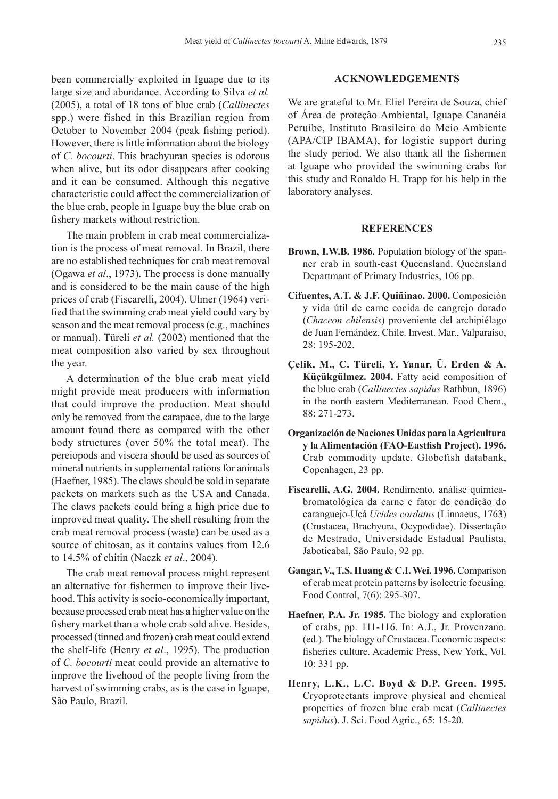been commercially exploited in Iguape due to its large size and abundance. According to Silva *et al.* (2005), a total of 18 tons of blue crab (*Callinectes* spp.) were fished in this Brazilian region from October to November 2004 (peak fishing period). However, there is little information about the biology of *C. bocourti*. This brachyuran species is odorous when alive, but its odor disappears after cooking and it can be consumed. Although this negative characteristic could affect the commercialization of the blue crab, people in Iguape buy the blue crab on fishery markets without restriction.

The main problem in crab meat commercialization is the process of meat removal. In Brazil, there are no established techniques for crab meat removal (Ogawa *et al*., 1973). The process is done manually and is considered to be the main cause of the high prices of crab (Fiscarelli, 2004). Ulmer (1964) verified that the swimming crab meat yield could vary by season and the meat removal process (e.g., machines or manual). Türeli *et al.* (2002) mentioned that the meat composition also varied by sex throughout the year.

A determination of the blue crab meat yield might provide meat producers with information that could improve the production. Meat should only be removed from the carapace, due to the large amount found there as compared with the other body structures (over 50% the total meat). The pereiopods and viscera should be used as sources of mineral nutrients in supplemental rations for animals (Haefner, 1985). The claws should be sold in separate packets on markets such as the USA and Canada. The claws packets could bring a high price due to improved meat quality. The shell resulting from the crab meat removal process (waste) can be used as a source of chitosan, as it contains values from 12.6 to 14.5% of chitin (Naczk *et al*., 2004).

The crab meat removal process might represent an alternative for fishermen to improve their livehood. This activity is socio-economically important, because processed crab meat has a higher value on the fishery market than a whole crab sold alive. Besides, processed (tinned and frozen) crab meat could extend the shelf-life (Henry *et al*., 1995). The production of *C. bocourti* meat could provide an alternative to improve the livehood of the people living from the harvest of swimming crabs, as is the case in Iguape, São Paulo, Brazil.

#### **ACKNOWLEDGEMENTS**

We are grateful to Mr. Eliel Pereira de Souza, chief of Área de proteção Ambiental, Iguape Cananéia Peruíbe, Instituto Brasileiro do Meio Ambiente (APA/CIP IBAMA), for logistic support during the study period. We also thank all the fishermen at Iguape who provided the swimming crabs for this study and Ronaldo H. Trapp for his help in the laboratory analyses.

#### **REFERENCES**

- **Brown, I.W.B. 1986.** Population biology of the spanner crab in south-east Queensland. Queensland Departmant of Primary Industries, 106 pp.
- **Cifuentes, A.T. & J.F. Quiñinao. 2000.** Composición y vida útil de carne cocida de cangrejo dorado (*Chaceon chilensis*) proveniente del archipiélago de Juan Fernández, Chile. Invest. Mar., Valparaíso, 28: 195-202.
- **Çelik, M., C. Türeli, Y. Yanar, Ü. Erden & A. Küçükgülmez. 2004.** Fatty acid composition of the blue crab (*Callinectes sapidus* Rathbun, 1896) in the north eastern Mediterranean. Food Chem., 88: 271-273.
- **Organización de Naciones Unidas para la Agricultura y la Alimentación (FAO-Eastfish Project). 1996.** Crab commodity update. Globefish databank, Copenhagen, 23 pp.
- **Fiscarelli, A.G. 2004.** Rendimento, análise químicabromatológica da carne e fator de condição do caranguejo-Uçá *Ucides cordatus* (Linnaeus, 1763) (Crustacea, Brachyura, Ocypodidae). Dissertação de Mestrado, Universidade Estadual Paulista, Jaboticabal, São Paulo, 92 pp.
- **Gangar, V., T.S. Huang & C.I. Wei. 1996.** Comparison of crab meat protein patterns by isolectric focusing. Food Control, 7(6): 295-307.
- **Haefner, P.A. Jr. 1985.** The biology and exploration of crabs, pp. 111-116. In: A.J., Jr. Provenzano. (ed.). The biology of Crustacea. Economic aspects: fisheries culture. Academic Press, New York, Vol. 10: 331 pp.
- **Henry, L.K., L.C. Boyd & D.P. Green. 1995.** Cryoprotectants improve physical and chemical properties of frozen blue crab meat (*Callinectes sapidus*). J. Sci. Food Agric., 65: 15-20.